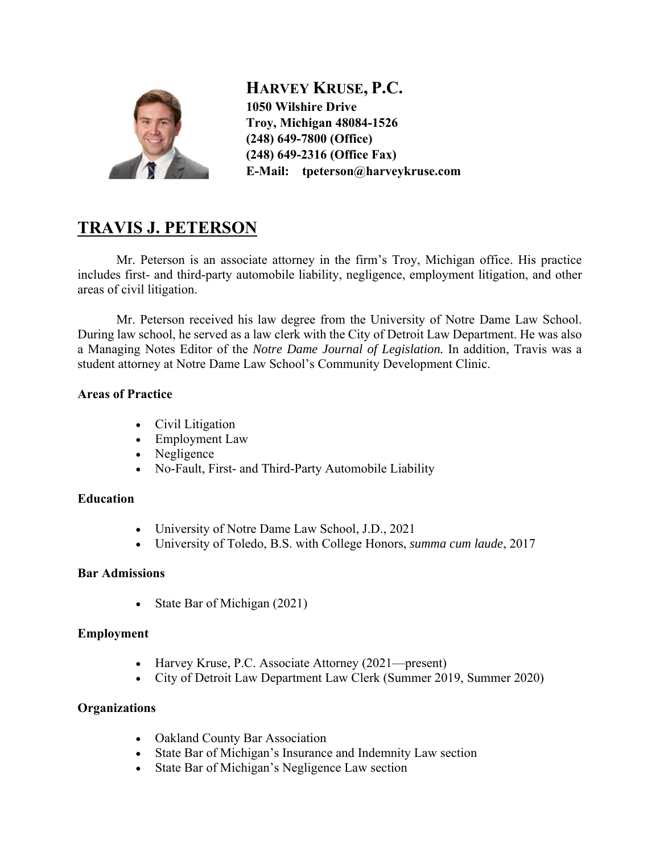

**HARVEY KRUSE, P.C. 1050 Wilshire Drive Troy, Michigan 48084-1526 (248) 649-7800 (Office) (248) 649-2316 (Office Fax) E-Mail: tpeterson@harveykruse.com**

# **TRAVIS J. PETERSON**

Mr. Peterson is an associate attorney in the firm's Troy, Michigan office. His practice includes first- and third-party automobile liability, negligence, employment litigation, and other areas of civil litigation.

Mr. Peterson received his law degree from the University of Notre Dame Law School. During law school, he served as a law clerk with the City of Detroit Law Department. He was also a Managing Notes Editor of the *Notre Dame Journal of Legislation.* In addition, Travis was a student attorney at Notre Dame Law School's Community Development Clinic.

### **Areas of Practice**

- Civil Litigation
- Employment Law
- Negligence
- No-Fault, First- and Third-Party Automobile Liability

#### **Education**

- University of Notre Dame Law School, J.D., 2021
- University of Toledo, B.S. with College Honors, *summa cum laude*, 2017

#### **Bar Admissions**

• State Bar of Michigan (2021)

#### **Employment**

- Harvey Kruse, P.C. Associate Attorney (2021—present)
- City of Detroit Law Department Law Clerk (Summer 2019, Summer 2020)

#### **Organizations**

- Oakland County Bar Association
- State Bar of Michigan's Insurance and Indemnity Law section
- State Bar of Michigan's Negligence Law section